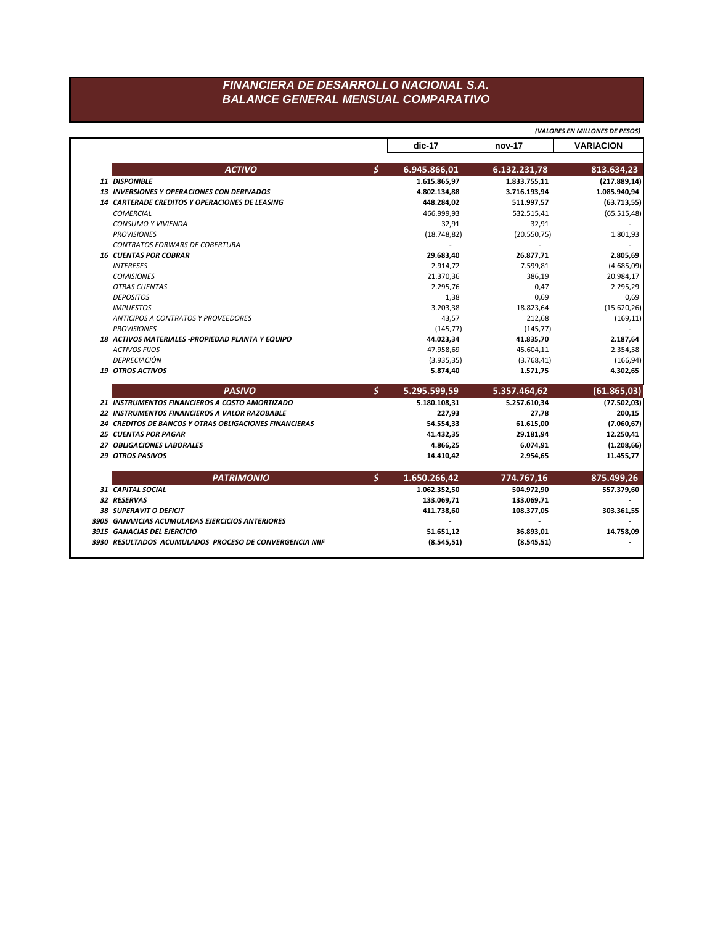## FINANCIERA DE DESARROLLO NACIONAL S.A. **BALANCE GENERAL MENSUAL COMPARATIVO**

|                                                        |    |              |                | (VALORES EN MILLONES DE PESOS) |
|--------------------------------------------------------|----|--------------|----------------|--------------------------------|
|                                                        |    | dic-17       | nov-17         | <b>VARIACION</b>               |
| <b>ACTIVO</b>                                          | \$ | 6.945.866,01 | 6.132.231,78   | 813.634,23                     |
| 11 DISPONIBLE                                          |    | 1.615.865,97 | 1.833.755,11   | (217.889, 14)                  |
| <b>13 INVERSIONES Y OPERACIONES CON DERIVADOS</b>      |    | 4.802.134,88 | 3.716.193,94   | 1.085.940,94                   |
| <b>14 CARTERADE CREDITOS Y OPERACIONES DE LEASING</b>  |    | 448.284,02   | 511.997,57     | (63.713, 55)                   |
| <b>COMERCIAL</b>                                       |    | 466.999,93   | 532.515,41     | (65.515, 48)                   |
| <b>CONSUMO Y VIVIENDA</b>                              |    | 32,91        | 32,91          |                                |
| <b>PROVISIONES</b>                                     |    | (18.748, 82) | (20.550, 75)   | 1.801,93                       |
| <b>CONTRATOS FORWARS DE COBERTURA</b>                  |    | $\sim$       | $\overline{a}$ |                                |
| <b>16 CUENTAS POR COBRAR</b>                           |    | 29.683,40    | 26.877,71      | 2.805,69                       |
| <b>INTERESES</b>                                       |    | 2.914,72     | 7.599,81       | (4.685,09)                     |
| <b>COMISIONES</b>                                      |    | 21.370,36    | 386,19         | 20.984,17                      |
| <b>OTRAS CUENTAS</b>                                   |    | 2.295,76     | 0,47           | 2.295,29                       |
| <b>DEPOSITOS</b>                                       |    | 1,38         | 0,69           | 0,69                           |
| <b>IMPUESTOS</b>                                       |    | 3.203,38     | 18.823,64      | (15.620, 26)                   |
| ANTICIPOS A CONTRATOS Y PROVEEDORES                    |    | 43,57        | 212,68         | (169, 11)                      |
| <b>PROVISIONES</b>                                     |    | (145, 77)    | (145, 77)      |                                |
| 18 ACTIVOS MATERIALES - PROPIEDAD PLANTA Y EQUIPO      |    | 44.023,34    | 41.835,70      | 2.187,64                       |
| <b>ACTIVOS FIJOS</b>                                   |    | 47.958,69    | 45.604,11      | 2.354,58                       |
| <b>DEPRECIACIÓN</b>                                    |    | (3.935, 35)  | (3.768, 41)    | (166, 94)                      |
| <b>19 OTROS ACTIVOS</b>                                |    | 5.874,40     | 1.571,75       | 4.302,65                       |
| <b>PASIVO</b>                                          | \$ | 5.295.599,59 | 5.357.464,62   | (61.865, 03)                   |
| 21 INSTRUMENTOS FINANCIEROS A COSTO AMORTIZADO         |    | 5.180.108,31 | 5.257.610,34   | (77.502, 03)                   |
| 22 INSTRUMENTOS FINANCIEROS A VALOR RAZOBABLE          |    | 227,93       | 27,78          | 200,15                         |
| 24 CREDITOS DE BANCOS Y OTRAS OBLIGACIONES FINANCIERAS |    | 54.554,33    | 61.615,00      | (7.060, 67)                    |
| <b>25 CUENTAS POR PAGAR</b>                            |    | 41.432,35    | 29.181,94      | 12.250,41                      |
| 27 OBLIGACIONES LABORALES                              |    | 4.866,25     | 6.074,91       | (1.208, 66)                    |
| <b>29 OTROS PASIVOS</b>                                |    | 14.410.42    | 2.954,65       | 11.455,77                      |
| <b>PATRIMONIO</b>                                      | Ŝ. | 1.650.266,42 | 774.767,16     | 875.499,26                     |
| 31 CAPITAL SOCIAL                                      |    | 1.062.352,50 | 504.972,90     | 557.379,60                     |
| 32 RESERVAS                                            |    | 133.069,71   | 133.069,71     |                                |
|                                                        |    |              |                |                                |
| <b>38 SUPERAVIT O DEFICIT</b>                          |    |              | 108.377,05     |                                |
| 3905 GANANCIAS ACUMULADAS EJERCICIOS ANTERIORES        |    | 411.738,60   |                |                                |
| 3915 GANACIAS DEL EJERCICIO                            |    | 51.651,12    | 36.893,01      | 303.361,55<br>14.758,09        |